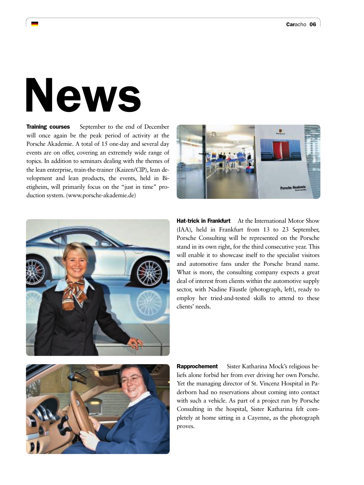# News

Training courses September to the end of December will once again be the peak period of activity at the Porsche Akademie. A total of 15 one-day and several day events are on offer, covering an extremely wide range of topics. In addition to seminars dealing with the themes of the lean enterprise, train-the-trainer (Kaizen/CIP), lean development and lean products, the events, held in Bietigheim, will primarily focus on the "just in time" production system. (www.porsche-akademie.de)





Hat-trick in Frankfurt At the International Motor Show (IAA), held in Frankfurt from 13 to 23 September, Porsche Consulting will be represented on the Porsche stand in its own right, for the third consecutive year. This will enable it to showcase itself to the specialist visitors and automotive fans under the Porsche brand name. What is more, the consulting company expects a great deal of interest from clients within the automotive supply sector, with Nadine Fäustle (photograph, left), ready to employ her tried-and-tested skills to attend to these clients' needs.



**Rapprochement** Sister Katharina Mock's religious beliefs alone forbid her from ever driving her own Porsche. Yet the managing director of St. Vincenz Hospital in Paderborn had no reservations about coming into contact with such a vehicle. As part of a project run by Porsche Consulting in the hospital, Sister Katharina felt completely at home sitting in a Cayenne, as the photograph proves.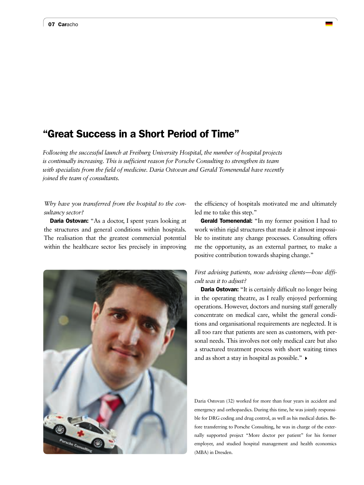## "Great Success in a Short Period of Time"

*Following the successful launch at Freiburg University Hospital, the number of hospital projects is continually increasing. This is sufficient reason for Porsche Consulting to strengthen its team with specialists from the field of medicine. Daria Ostovan and Gerald Tomenendal have recently joined the team of consultants.*

#### *Why have you transferred from the hospital to the consultancy sector?*

Daria Ostovan: "As a doctor, I spent years looking at the structures and general conditions within hospitals. The realisation that the greatest commercial potential within the healthcare sector lies precisely in improving



the efficiency of hospitals motivated me and ultimately led me to take this step."

Gerald Tomenendal: "In my former position I had to work within rigid structures that made it almost impossible to institute any change processes. Consulting offers me the opportunity, as an external partner, to make a positive contribution towards shaping change."

## *First advising patients, now advising clients—how difficult was it to adjust?*

**Daria Ostovan:** "It is certainly difficult no longer being in the operating theatre, as I really enjoyed performing operations. However, doctors and nursing staff generally concentrate on medical care, whilst the general conditions and organisational requirements are neglected. It is all too rare that patients are seen as customers, with personal needs. This involves not only medical care but also a structured treatment process with short waiting times and as short a stay in hospital as possible."

Daria Ostovan (32) worked for more than four years in accident and emergency and orthopaedics. During this time, he was jointly responsible for DRG coding and drug control, as well as his medical duties. Before transferring to Porsche Consulting, he was in charge of the externally supported project "More doctor per patient" for his former employer, and studied hospital management and health economics (MBA) in Dresden.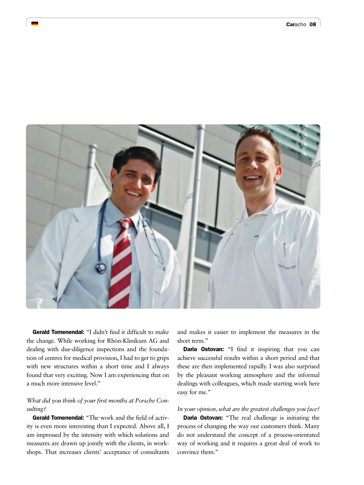

Gerald Tomenendal: "I didn't find it difficult to make the change. While working for Rhön-Klinikum AG and dealing with due-diligence inspections and the foundation of centres for medical provision, I had to get to grips with new structures within a short time and I always found that very exciting. Now I am experiencing that on a much more intensive level."

### *What did you think of your first months at Porsche Consulting?*

Gerald Tomenendal: "The work and the field of activity is even more interesting than I expected. Above all, I am impressed by the intensity with which solutions and measures are drawn up jointly with the clients, in workshops. That increases clients' acceptance of consultants and makes it easier to implement the measures in the short term."

Daria Ostovan: "I find it inspiring that you can achieve successful results within a short period and that these are then implemented rapidly. I was also surprised by the pleasant working atmosphere and the informal dealings with colleagues, which made starting work here easy for me."

#### *In your opinion, what are the greatest challenges you face?*

**Daria Ostovan:** "The real challenge is initiating the process of changing the way our customers think. Many do not understand the concept of a process-orientated way of working and it requires a great deal of work to convince them."